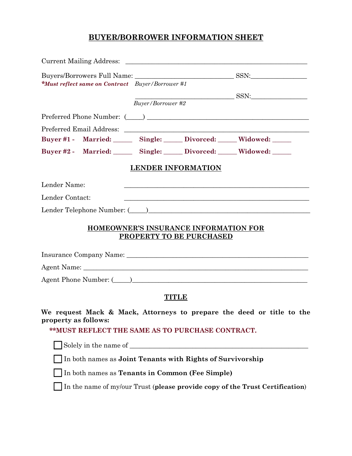# **BUYER/BORROWER INFORMATION SHEET**

| <i>*Must reflect same on Contract Buyer/Borrower</i> #1 |                                                            |                          |                                                                   |                                                                                                                |
|---------------------------------------------------------|------------------------------------------------------------|--------------------------|-------------------------------------------------------------------|----------------------------------------------------------------------------------------------------------------|
|                                                         |                                                            |                          |                                                                   |                                                                                                                |
|                                                         |                                                            | <b>Buyer/Borrower #2</b> |                                                                   | SSN:                                                                                                           |
|                                                         |                                                            |                          |                                                                   |                                                                                                                |
|                                                         |                                                            |                          |                                                                   |                                                                                                                |
|                                                         |                                                            |                          |                                                                   | Buyer #1 - Married: Single: Divorced: Widowed: ____                                                            |
|                                                         |                                                            |                          |                                                                   | Buyer #2 - Married: Single: Divorced: Widowed: ____                                                            |
|                                                         |                                                            |                          | <b>LENDER INFORMATION</b>                                         |                                                                                                                |
| Lender Name:                                            |                                                            |                          |                                                                   | a se de la construcción de la construcción de la construcción de la construcción de la construcción de la cons |
| Lender Contact:                                         |                                                            |                          |                                                                   |                                                                                                                |
|                                                         |                                                            |                          |                                                                   | Lender Telephone Number: (Campaigneer)                                                                         |
|                                                         |                                                            |                          | HOMEOWNER'S INSURANCE INFORMATION FOR<br>PROPERTY TO BE PURCHASED |                                                                                                                |
|                                                         |                                                            |                          |                                                                   |                                                                                                                |
|                                                         |                                                            |                          |                                                                   |                                                                                                                |
|                                                         |                                                            |                          |                                                                   | Agent Phone Number: (Call 2018) 2014 12:30 12:30 12:30 12:30 12:30 12:30 12:30 12:30 12:30 12:30 12:30 12:30 1 |
|                                                         |                                                            |                          | <b>TITLE</b>                                                      |                                                                                                                |
| property as follows:                                    |                                                            |                          |                                                                   | We request Mack & Mack, Attorneys to prepare the deed or title to the                                          |
|                                                         | **MUST REFLECT THE SAME AS TO PURCHASE CONTRACT.           |                          |                                                                   |                                                                                                                |
|                                                         |                                                            |                          |                                                                   |                                                                                                                |
|                                                         | In both names as Joint Tenants with Rights of Survivorship |                          |                                                                   |                                                                                                                |
|                                                         | In both names as Tenants in Common (Fee Simple)            |                          |                                                                   |                                                                                                                |
|                                                         |                                                            |                          |                                                                   | In the name of my/our Trust (please provide copy of the Trust Certification)                                   |